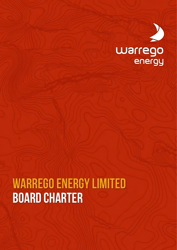

# **WARREGO ENERGY LIMITED board charter**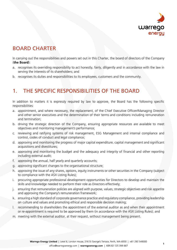

# BOARD CHARTER

In carrying out the responsibilities and powers set out in this Charter, the board of directors of the Company (**the Board**):

- a. recognises its overriding responsibility to act honestly, fairly, diligently and in accordance with the law in serving the interests of its shareholders; and
- b. recognises its duties and responsibilities to its employees, customers and the community.

# 1. THE SPECIFIC RESPONSIBILITIES OF THE BOARD

In addition to matters it is expressly required by law to approve, the Board has the following specific responsibilities:

- a. appointment, and where necessary, the replacement, of the Chief Executive Officer/Managing Director and other senior executives and the determination of their terms and conditions including remuneration and termination;
- b. driving the strategic direction of the Company, ensuring appropriate resources are available to meet objectives and monitoring management's performance;
- c. reviewing and ratifying systems of risk management, ESG Management and internal compliance and control, codes of conduct and legal compliance;
- d. approving and monitoring the progress of major capital expenditure, capital management and significant acquisitions and divestitures;
- e. approving and monitoring the budget and the adequacy and integrity of financial and other reporting including external audit;
- f. approving the annual, half yearly and quarterly accounts;
- g. approving significant changes to the organisational structure;
- h. approving the issue of any shares, options, equity instruments or other securities in the Company (subject to compliance with the ASX Listing Rules);
- i. procuring appropriate professional development opportunities for Directors to develop and maintain the skills and knowledge needed to perform their role as Directors effectively;
- j. ensuring that remuneration policies are aligned with purpose, values, strategic objectives and risk appetite and approving the Company's remuneration framework;
- k. ensuring a high standard of corporate governance practice and regulatory compliance, providing leadership on culture and values and promoting ethical and responsible decision making;
- l. recommending to shareholders the appointment of the external auditor as and when their appointment or re-appointment is required to be approved by them (in accordance with the ASX Listing Rules); and
- m. meeting with the external auditor, at their request, without management being present.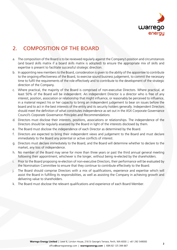

# 2. COMPOSITION OF THE BOARD

- a. The composition of the Board is to be reviewed regularly against the Company's position and circumstances (and board skills matrix if a board skills matrix is adopted) to ensure the appropriate mix of skills and expertise is present to facilitate successful strategic direction.
- b. In appointing new members to the Board, consideration is given to the ability of the appointee to contribute to the ongoing effectiveness of the Board, to exercise sound business judgement, to commit the necessary time to fulfil the requirements of the role effectively and to contribute to the development of the strategic direction of the Company.
- c. Where practical, the majority of the Board is comprised of non-executive Directors. Where practical, at least 50% of the Board will be independent. An independent Director is a director who is free of any interest, position, association or relationship that might influence, or reasonably be perceived to influence, in a material respect his or her capacity to bring an independent judgement to bear on issues before the board and to act in the best interests of the entity and its security holders generally. Independent Directors should meet the definition of what constitutes independence as set out in the ASX Corporate Governance Council's *Corporate Governance Principles and Recommendations*.
- d. Directors must disclose their interests, positions, associations or relationships. The independence of the Directors should be regularly assessed by the Board in light of the interests disclosed by them.
- e. The Board must disclose the independence of each Director as determined by the Board.
- f. Directors are expected to bring their independent views and judgement to the Board and must declare immediately to the Board any potential or active conflicts of interest.
- g. Directors must declare immediately to the Board, and the Board will determine whether to declare to the market, any loss of independence.
- h. No member of the Board may serve for more than three years or past the third annual general meeting following their appointment, whichever is the longer, without being re-elected by the shareholders.
- i. Prior to the Board proposing re-election of non-executive Directors, their performance will be evaluated by the Nomination Committee to ensure that they continue to contribute effectively to the Board.
- j. The Board should comprise Directors with a mix of qualifications, experience and expertise which will assist the Board in fulfilling its responsibilities, as well as assisting the Company in achieving growth and delivering value to shareholders.
- k. The Board must disclose the relevant qualifications and experience of each Board Member.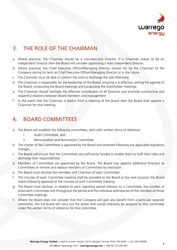

# 3. THE ROLE OF THE CHAIRMAN

- a. Where practical, the Chairman should be a non-executive Director. If a Chairman ceases to be an independent Director then the Board will consider appointing a lead independent Director.
- b. Where practical, the Chief Executive Officer/Managing Director should not be the Chairman of the Company during his term as Chief Executive Officer/Managing Director or in the future.
- c. The Chairman must be able to commit the time to discharge the role effectively.
- d. The Chairman is responsible for the leadership of the Board, ensuring it is effective, setting the agenda of the Board, conducting the Board meetings and conducting the shareholder meetings.
- e. The Chairman should facilitate the effective contribution of all Directors and promote constructive and respectful relations between Board members and management.
- f. In the event that the Chairman is absent from a meeting of the Board then the Board shall appoint a Chairman for that meeting.

#### 4. BOARD COMMITTEES

- a. The Board will establish the following committees, each with written terms of reference:
	- i. Audit Committee; and
	- ii. Remuneration and Nomination Committee.
- b. The charter of the Committees is approved by the Board and reviewed following any applicable regulatory changes.
- c. The Board will ensure that the Committees are sufficiently funded to enable them to fulfil their roles and discharge their responsibilities.
- d. Members of Committees are appointed by the Board. The Board may appoint additional Directors to Committees or remove and replace members of Committees by resolution.
- e. The Board must disclose the members and Chairman of each Committee.
- f. The minutes of each Committee meeting shall be provided to the Board at the next occasion the Board meets following approval of the minutes of such Committee meeting.
- g. The Board must disclose, in relation to each reporting period relevant to a Committee, the number of times each Committee met throughout the period and the individual attendances of the members at those Committee meetings.
- h. Where the Board does not consider that the Company will gain any benefit from a particular separate committee, the full Board will carry out the duties that would ordinarily be assigned to that committee under the written terms of reference for that committee.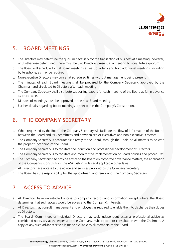

# 5. BOARD MEETINGS

- a. The Directors may determine the quorum necessary for the transaction of business at a meeting, however, until otherwise determined, there must be two Directors present at a meeting to constitute a quorum.
- b. The Board will schedule formal Board meetings at least quarterly and hold additional meetings, including by telephone, as may be required.
- c. Non-executive Directors may confer at scheduled times without management being present.
- d. The minutes of each Board meeting shall be prepared by the Company Secretary, approved by the Chairman and circulated to Directors after each meeting.
- e. The Company Secretary shall distribute supporting papers for each meeting of the Board as far in advance as practicable.
- f. Minutes of meetings must be approved at the next Board meeting.
- g. Further details regarding board meetings are set out in the Company's Constitution.

#### 6. THE COMPANY SECRETARY

- a. When requested by the Board, the Company Secretary will facilitate the flow of information of the Board, between the Board and its Committees and between senior executives and non-executive Directors.
- b. The Company Secretary is accountable directly to the Board, through the Chair, on all matters to do with the proper functioning of the Board.
- c. The Company Secretary is to facilitate the induction and professional development of Directors.
- d. The Company Secretary is to facilitate and monitor the implementation of Board policies and procedures.
- e. The Company Secretary is to provide advice to the Board on corporate governance matters, the application of the Company's Constitution, the ASX Listing Rules and applicable other laws.
- f. All Directors have access to the advice and services provided by the Company Secretary.
- g. The Board has the responsibility for the appointment and removal of the Company Secretary.

# 7. ACCESS TO ADVICE

- a. All Directors have unrestricted access to company records and information except where the Board determines that such access would be adverse to the Company's interests.
- b. All Directors may consult management and employees as required to enable them to discharge their duties as Directors.
- c. The Board, Committees or individual Directors may seek independent external professional advice as considered necessary at the expense of the Company, subject to prior consultation with the Chairman. A copy of any such advice received is made available to all members of the Board.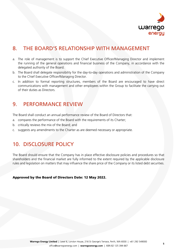

# 8. THE BOARD'S RELATIONSHIP WITH MANAGEMENT

- a. The role of management is to support the Chief Executive Officer/Managing Director and implement the running of the general operations and financial business of the Company, in accordance with the delegated authority of the Board.
- b. The Board shall delegate responsibility for the day-to-day operations and administration of the Company to the Chief Executive Officer/Managing Director.
- c. In addition to formal reporting structures, members of the Board are encouraged to have direct communications with management and other employees within the Group to facilitate the carrying out of their duties as Directors.

#### 9. PERFORMANCE REVIEW

The Board shall conduct an annual performance review of the Board of Directors that:

- a. compares the performance of the Board with the requirements of its Charter;
- b. critically reviews the mix of the Board; and
- c. suggests any amendments to the Charter as are deemed necessary or appropriate.

## 10. DISCLOSURE POLICY

The Board should ensure that the Company has in place effective disclosure policies and procedures so that shareholders and the financial market are fully informed to the extent required by the applicable disclosure rules and legislation on matters that may influence the share price of the Company or its listed debt securities.

Approved by the Board of Directors Date: 12 May 2022.